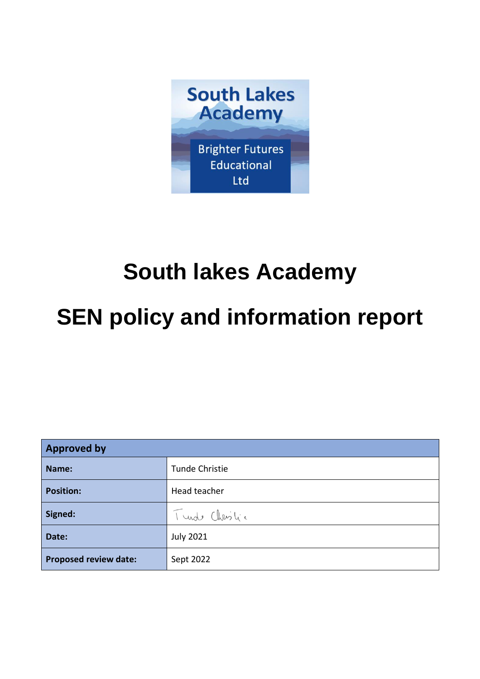

# **South lakes Academy**

# **SEN policy and information report**

| <b>Approved by</b>           |                       |
|------------------------------|-----------------------|
| Name:                        | <b>Tunde Christie</b> |
| <b>Position:</b>             | Head teacher          |
| Signed:                      | Turde Christic        |
| Date:                        | <b>July 2021</b>      |
| <b>Proposed review date:</b> | Sept 2022             |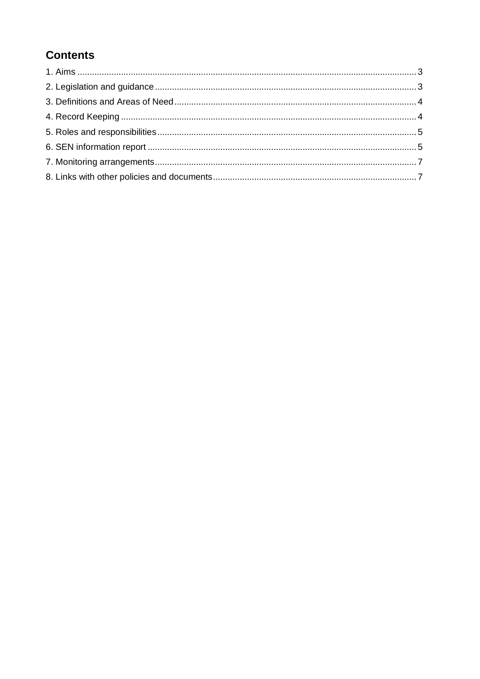# **Contents**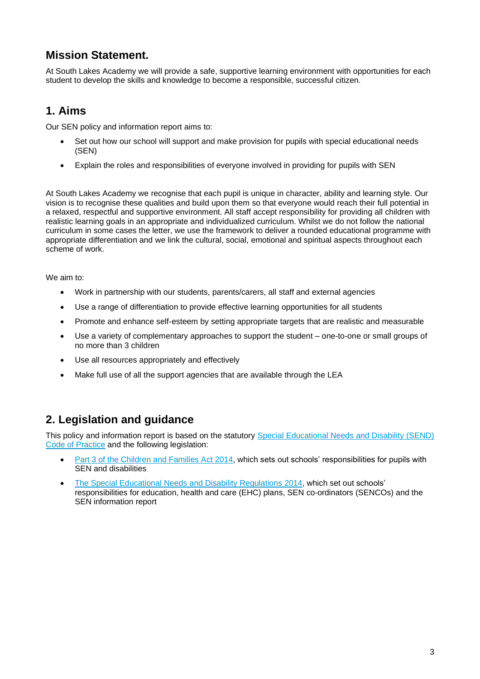## **Mission Statement.**

At South Lakes Academy we will provide a safe, supportive learning environment with opportunities for each student to develop the skills and knowledge to become a responsible, successful citizen.

## **1. Aims**

Our SEN policy and information report aims to:

- Set out how our school will support and make provision for pupils with special educational needs (SEN)
- Explain the roles and responsibilities of everyone involved in providing for pupils with SEN

At South Lakes Academy we recognise that each pupil is unique in character, ability and learning style. Our vision is to recognise these qualities and build upon them so that everyone would reach their full potential in a relaxed, respectful and supportive environment. All staff accept responsibility for providing all children with realistic learning goals in an appropriate and individualized curriculum. Whilst we do not follow the national curriculum in some cases the letter, we use the framework to deliver a rounded educational programme with appropriate differentiation and we link the cultural, social, emotional and spiritual aspects throughout each scheme of work.

We aim to:

- Work in partnership with our students, parents/carers, all staff and external agencies
- Use a range of differentiation to provide effective learning opportunities for all students
- Promote and enhance self-esteem by setting appropriate targets that are realistic and measurable
- Use a variety of complementary approaches to support the student one-to-one or small groups of no more than 3 children
- Use all resources appropriately and effectively
- Make full use of all the support agencies that are available through the LEA

## **2. Legislation and guidance**

This policy and information report is based on the statutory [Special Educational Needs and Disability \(SEND\)](https://www.gov.uk/government/uploads/system/uploads/attachment_data/file/398815/SEND_Code_of_Practice_January_2015.pdf)  [Code of Practice](https://www.gov.uk/government/uploads/system/uploads/attachment_data/file/398815/SEND_Code_of_Practice_January_2015.pdf) and the following legislation:

- [Part 3 of the Children and Families Act 2014,](http://www.legislation.gov.uk/ukpga/2014/6/part/3) which sets out schools' responsibilities for pupils with SEN and disabilities
- [The Special Educational Needs and Disability Regulations 2014,](http://www.legislation.gov.uk/uksi/2014/1530/contents/made) which set out schools' responsibilities for education, health and care (EHC) plans, SEN co-ordinators (SENCOs) and the SEN information report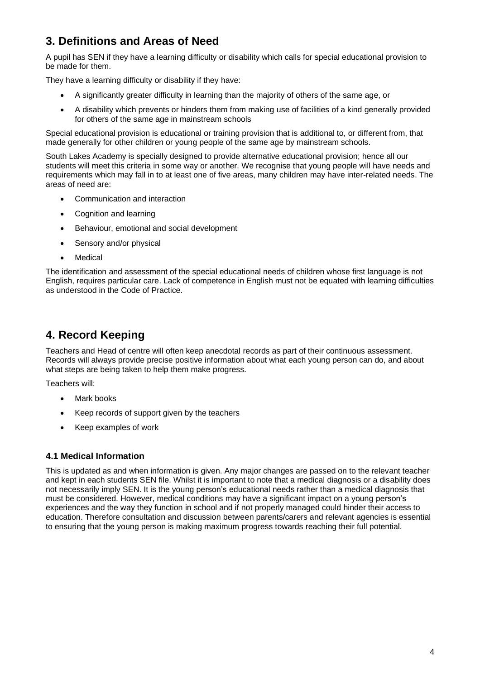# **3. Definitions and Areas of Need**

A pupil has SEN if they have a learning difficulty or disability which calls for special educational provision to be made for them.

They have a learning difficulty or disability if they have:

- A significantly greater difficulty in learning than the majority of others of the same age, or
- A disability which prevents or hinders them from making use of facilities of a kind generally provided for others of the same age in mainstream schools

Special educational provision is educational or training provision that is additional to, or different from, that made generally for other children or young people of the same age by mainstream schools.

South Lakes Academy is specially designed to provide alternative educational provision; hence all our students will meet this criteria in some way or another. We recognise that young people will have needs and requirements which may fall in to at least one of five areas, many children may have inter-related needs. The areas of need are:

- Communication and interaction
- Cognition and learning
- Behaviour, emotional and social development
- Sensory and/or physical
- Medical

The identification and assessment of the special educational needs of children whose first language is not English, requires particular care. Lack of competence in English must not be equated with learning difficulties as understood in the Code of Practice.

## **4. Record Keeping**

Teachers and Head of centre will often keep anecdotal records as part of their continuous assessment. Records will always provide precise positive information about what each young person can do, and about what steps are being taken to help them make progress.

Teachers will:

- Mark books
- Keep records of support given by the teachers
- Keep examples of work

## **4.1 Medical Information**

This is updated as and when information is given. Any major changes are passed on to the relevant teacher and kept in each students SEN file. Whilst it is important to note that a medical diagnosis or a disability does not necessarily imply SEN. It is the young person's educational needs rather than a medical diagnosis that must be considered. However, medical conditions may have a significant impact on a young person's experiences and the way they function in school and if not properly managed could hinder their access to education. Therefore consultation and discussion between parents/carers and relevant agencies is essential to ensuring that the young person is making maximum progress towards reaching their full potential.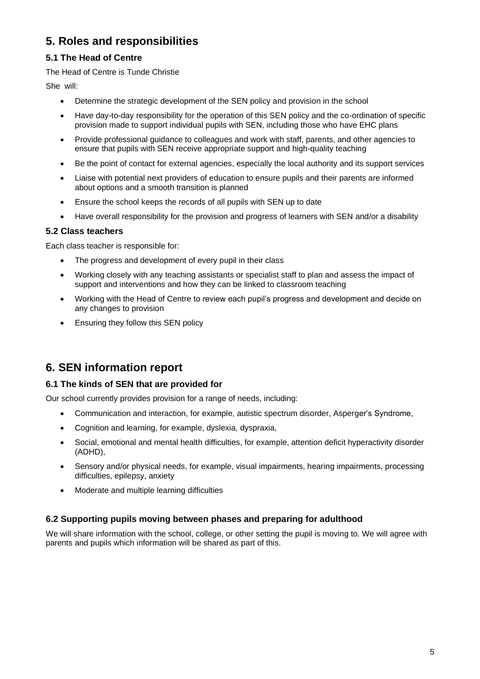# **5. Roles and responsibilities**

## **5.1 The Head of Centre**

#### The Head of Centre is Tunde Christie

She will:

- Determine the strategic development of the SEN policy and provision in the school
- Have day-to-day responsibility for the operation of this SEN policy and the co-ordination of specific provision made to support individual pupils with SEN, including those who have EHC plans
- Provide professional guidance to colleagues and work with staff, parents, and other agencies to ensure that pupils with SEN receive appropriate support and high-quality teaching
- Be the point of contact for external agencies, especially the local authority and its support services
- Liaise with potential next providers of education to ensure pupils and their parents are informed about options and a smooth transition is planned
- Ensure the school keeps the records of all pupils with SEN up to date
- Have overall responsibility for the provision and progress of learners with SEN and/or a disability

#### **5.2 Class teachers**

Each class teacher is responsible for:

- The progress and development of every pupil in their class
- Working closely with any teaching assistants or specialist staff to plan and assess the impact of support and interventions and how they can be linked to classroom teaching
- Working with the Head of Centre to review each pupil's progress and development and decide on any changes to provision
- Ensuring they follow this SEN policy

## **6. SEN information report**

## **6.1 The kinds of SEN that are provided for**

Our school currently provides provision for a range of needs, including:

- Communication and interaction, for example, autistic spectrum disorder, Asperger's Syndrome,
- Cognition and learning, for example, dyslexia, dyspraxia,
- Social, emotional and mental health difficulties, for example, attention deficit hyperactivity disorder (ADHD),
- Sensory and/or physical needs, for example, visual impairments, hearing impairments, processing difficulties, epilepsy, anxiety
- Moderate and multiple learning difficulties

## **6.2 Supporting pupils moving between phases and preparing for adulthood**

We will share information with the school, college, or other setting the pupil is moving to. We will agree with parents and pupils which information will be shared as part of this.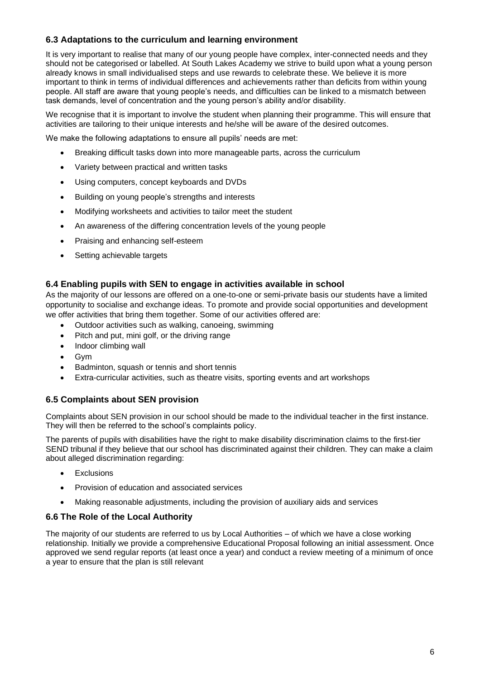#### **6.3 Adaptations to the curriculum and learning environment**

It is very important to realise that many of our young people have complex, inter-connected needs and they should not be categorised or labelled. At South Lakes Academy we strive to build upon what a young person already knows in small individualised steps and use rewards to celebrate these. We believe it is more important to think in terms of individual differences and achievements rather than deficits from within young people. All staff are aware that young people's needs, and difficulties can be linked to a mismatch between task demands, level of concentration and the young person's ability and/or disability.

We recognise that it is important to involve the student when planning their programme. This will ensure that activities are tailoring to their unique interests and he/she will be aware of the desired outcomes.

We make the following adaptations to ensure all pupils' needs are met:

- Breaking difficult tasks down into more manageable parts, across the curriculum
- Variety between practical and written tasks
- Using computers, concept keyboards and DVDs
- Building on young people's strengths and interests
- Modifying worksheets and activities to tailor meet the student
- An awareness of the differing concentration levels of the young people
- Praising and enhancing self-esteem
- Setting achievable targets

#### **6.4 Enabling pupils with SEN to engage in activities available in school**

As the majority of our lessons are offered on a one-to-one or semi-private basis our students have a limited opportunity to socialise and exchange ideas. To promote and provide social opportunities and development we offer activities that bring them together. Some of our activities offered are:

- Outdoor activities such as walking, canoeing, swimming
- Pitch and put, mini golf, or the driving range
- Indoor climbing wall
- Gym
- Badminton, squash or tennis and short tennis
- Extra-curricular activities, such as theatre visits, sporting events and art workshops

#### **6.5 Complaints about SEN provision**

Complaints about SEN provision in our school should be made to the individual teacher in the first instance. They will then be referred to the school's complaints policy.

The parents of pupils with disabilities have the right to make disability discrimination claims to the first-tier SEND tribunal if they believe that our school has discriminated against their children. They can make a claim about alleged discrimination regarding:

- **Exclusions**
- Provision of education and associated services
- Making reasonable adjustments, including the provision of auxiliary aids and services

#### **6.6 The Role of the Local Authority**

The majority of our students are referred to us by Local Authorities – of which we have a close working relationship. Initially we provide a comprehensive Educational Proposal following an initial assessment. Once approved we send regular reports (at least once a year) and conduct a review meeting of a minimum of once a year to ensure that the plan is still relevant